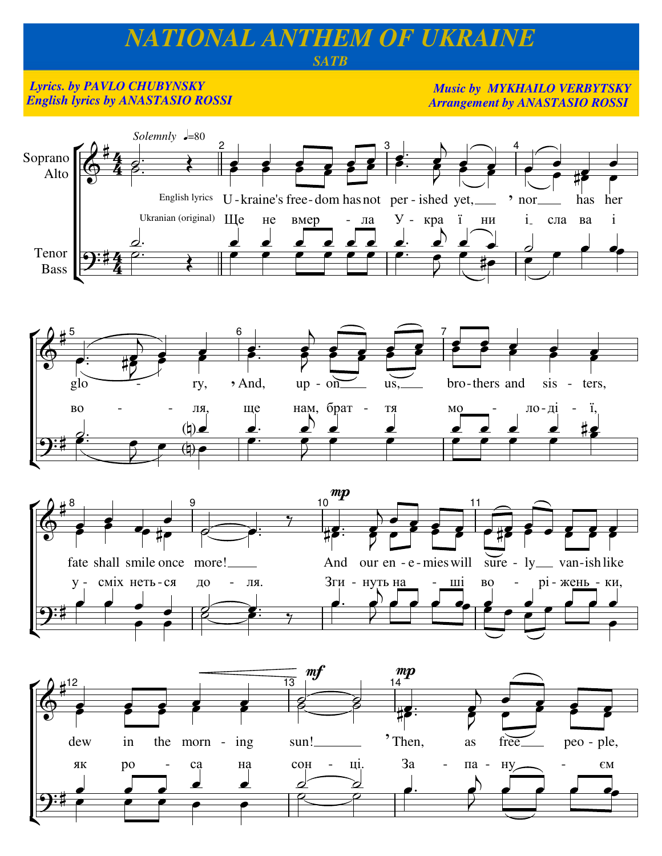# NATIONAL ANTHEM OF UKRAINE

## **SATB**

#### **Lyrics. by PAVLO CHUBYNSKY English lyrics by ANASTASIO ROSSI**

**Music by MYKHAILO VERBYTSKY Arrangement by ANASTASIO ROSSI** 

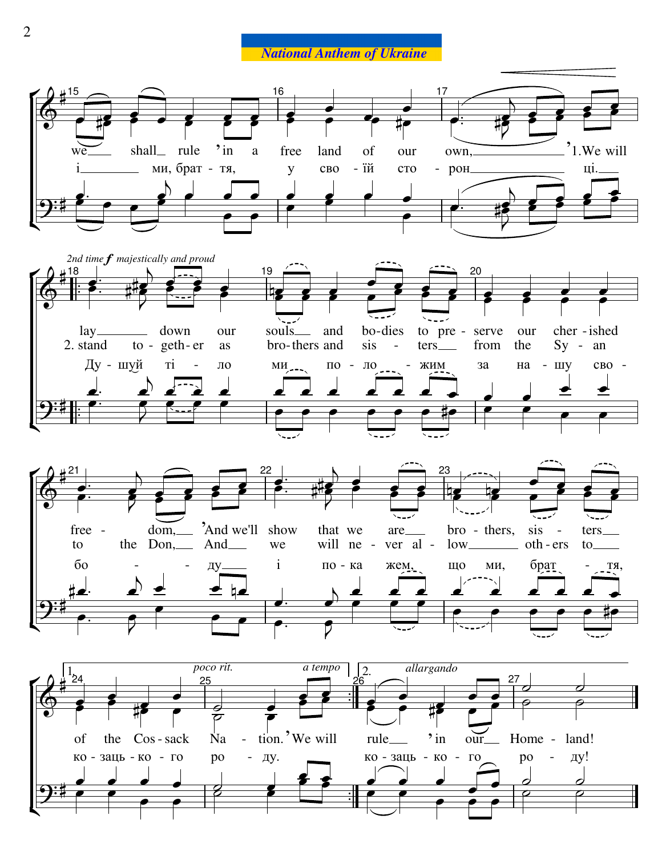#### **National Anthem of Ukraine**